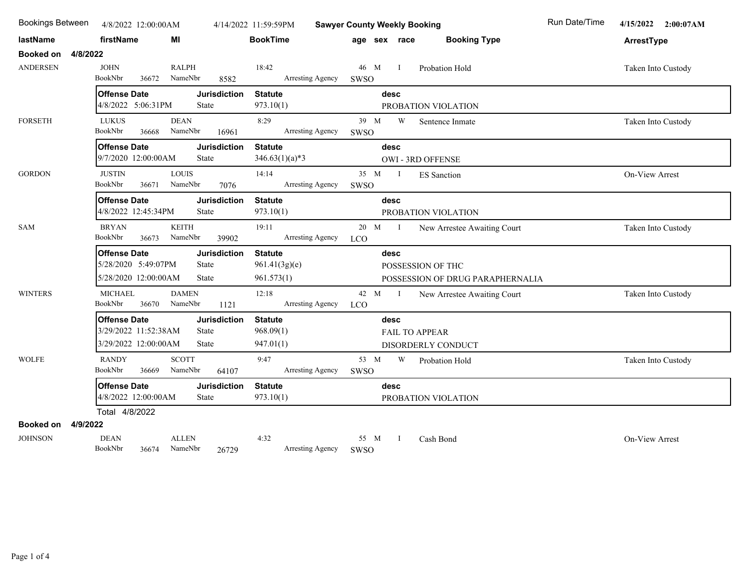| <b>Bookings Between</b><br>4/8/2022 12:00:00AM |                                                                            |                                              | 4/14/2022 11:59:59PM                          | <b>Sawyer County Weekly Booking</b>                               | Run Date/Time<br>4/15/2022 2:00:07AM |
|------------------------------------------------|----------------------------------------------------------------------------|----------------------------------------------|-----------------------------------------------|-------------------------------------------------------------------|--------------------------------------|
| lastName                                       | firstName<br>МI                                                            |                                              | <b>BookTime</b>                               | <b>Booking Type</b><br>age sex race                               | ArrestType                           |
| <b>Booked on</b><br>4/8/2022                   |                                                                            |                                              |                                               |                                                                   |                                      |
| <b>ANDERSEN</b>                                | <b>JOHN</b><br>BookNbr<br>36672                                            | <b>RALPH</b><br>NameNbr<br>8582              | 18:42<br>Arresting Agency                     | 46 M<br>$\mathbf{I}$<br>Probation Hold<br>SWSO                    | Taken Into Custody                   |
|                                                | <b>Offense Date</b>                                                        | <b>Jurisdiction</b>                          | <b>Statute</b>                                | desc                                                              |                                      |
|                                                | 4/8/2022 5:06:31PM                                                         | State                                        | 973.10(1)                                     | PROBATION VIOLATION                                               |                                      |
| <b>FORSETH</b>                                 | <b>LUKUS</b><br>BookNbr<br>36668                                           | <b>DEAN</b><br>NameNbr<br>16961              | 8:29<br>Arresting Agency                      | 39 M<br>W<br>Sentence Inmate<br>SWSO                              | Taken Into Custody                   |
|                                                | <b>Offense Date</b><br>9/7/2020 12:00:00AM                                 | <b>Jurisdiction</b><br>State                 | <b>Statute</b><br>$346.63(1)(a)*3$            | desc<br>OWI - 3RD OFFENSE                                         |                                      |
| <b>GORDON</b>                                  | <b>JUSTIN</b><br>BookNbr<br>36671                                          | <b>LOUIS</b><br>NameNbr<br>7076              | 14:14<br>Arresting Agency                     | 35 M I<br><b>ES</b> Sanction<br>SWSO                              | On-View Arrest                       |
|                                                | <b>Offense Date</b><br>4/8/2022 12:45:34PM                                 | <b>Jurisdiction</b><br>State                 | <b>Statute</b><br>973.10(1)                   | desc<br>PROBATION VIOLATION                                       |                                      |
| SAM                                            | <b>BRYAN</b><br>BookNbr<br>36673                                           | <b>KEITH</b><br>NameNbr<br>39902             | 19:11<br>Arresting Agency                     | 20 M I<br>New Arrestee Awaiting Court<br><b>LCO</b>               | Taken Into Custody                   |
|                                                | <b>Offense Date</b><br>5/28/2020 5:49:07PM<br>5/28/2020 12:00:00AM         | <b>Jurisdiction</b><br>State<br>State        | <b>Statute</b><br>961.41(3g)(e)<br>961.573(1) | desc<br>POSSESSION OF THC<br>POSSESSION OF DRUG PARAPHERNALIA     |                                      |
| <b>WINTERS</b>                                 | <b>MICHAEL</b><br>BookNbr<br>36670                                         | <b>DAMEN</b><br>NameNbr<br>1121              | 12:18<br>Arresting Agency                     | 42 M<br>$\mathbf{I}$<br>New Arrestee Awaiting Court<br><b>LCO</b> | Taken Into Custody                   |
|                                                | <b>Offense Date</b><br>3/29/2022 11:52:38AM<br>3/29/2022 12:00:00AM        | <b>Jurisdiction</b><br>State<br><b>State</b> | <b>Statute</b><br>968.09(1)<br>947.01(1)      | desc<br><b>FAIL TO APPEAR</b><br>DISORDERLY CONDUCT               |                                      |
| <b>WOLFE</b>                                   | <b>RANDY</b><br>BookNbr<br>36669                                           | <b>SCOTT</b><br>NameNbr<br>64107             | 9:47<br>Arresting Agency                      | W<br>53 M<br>Probation Hold<br>SWSO                               | Taken Into Custody                   |
|                                                | <b>Offense Date</b><br><b>Jurisdiction</b><br>4/8/2022 12:00:00AM<br>State |                                              | <b>Statute</b><br>973.10(1)                   | desc<br>PROBATION VIOLATION                                       |                                      |
|                                                | Total 4/8/2022                                                             |                                              |                                               |                                                                   |                                      |
| Booked on<br>4/9/2022                          |                                                                            |                                              |                                               |                                                                   |                                      |
| <b>JOHNSON</b>                                 | <b>DEAN</b><br>BookNbr                                                     | <b>ALLEN</b><br>36674 NameNbr<br>26729       | 4:32<br>Arresting Agency                      | 55 M<br>$\mathbf{I}$<br>Cash Bond<br>SWSO                         | <b>On-View Arrest</b>                |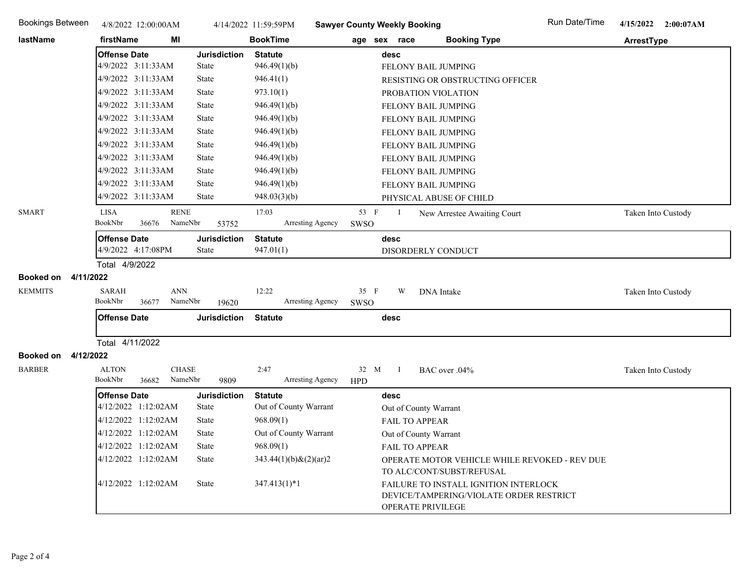| <b>Bookings Between</b>       | 4/8/2022 12:00:00AM                                       |                     | 4/14/2022 11:59:59PM        | <b>Sawyer County Weekly Booking</b> |              |                                                                                                       | Run Date/Time | 4/15/2022<br>2:00:07AM |
|-------------------------------|-----------------------------------------------------------|---------------------|-----------------------------|-------------------------------------|--------------|-------------------------------------------------------------------------------------------------------|---------------|------------------------|
| lastName                      | firstName<br>МI                                           |                     | <b>BookTime</b>             |                                     | age sex race | <b>Booking Type</b>                                                                                   |               | ArrestType             |
|                               | <b>Offense Date</b>                                       | <b>Jurisdiction</b> | <b>Statute</b>              |                                     | desc         |                                                                                                       |               |                        |
|                               | 4/9/2022 3:11:33AM                                        | <b>State</b>        | 946.49(1)(b)                |                                     |              | FELONY BAIL JUMPING                                                                                   |               |                        |
|                               | 4/9/2022 3:11:33AM                                        | State               | 946.41(1)                   |                                     |              | RESISTING OR OBSTRUCTING OFFICER                                                                      |               |                        |
|                               | 4/9/2022 3:11:33AM                                        | <b>State</b>        | 973.10(1)                   |                                     |              | PROBATION VIOLATION                                                                                   |               |                        |
|                               | 4/9/2022 3:11:33AM                                        | <b>State</b>        | 946.49(1)(b)                |                                     |              | FELONY BAIL JUMPING                                                                                   |               |                        |
|                               | 4/9/2022 3:11:33AM                                        | <b>State</b>        | 946.49(1)(b)                |                                     |              | FELONY BAIL JUMPING                                                                                   |               |                        |
|                               | 4/9/2022 3:11:33AM                                        | <b>State</b>        | 946.49(1)(b)                |                                     |              | FELONY BAIL JUMPING                                                                                   |               |                        |
|                               | 4/9/2022 3:11:33AM                                        | <b>State</b>        | 946.49(1)(b)                |                                     |              | FELONY BAIL JUMPING                                                                                   |               |                        |
|                               | 4/9/2022 3:11:33AM                                        | <b>State</b>        | 946.49(1)(b)                |                                     |              | FELONY BAIL JUMPING                                                                                   |               |                        |
|                               | 4/9/2022 3:11:33AM                                        | <b>State</b>        | 946.49(1)(b)                |                                     |              | FELONY BAIL JUMPING                                                                                   |               |                        |
|                               | 4/9/2022 3:11:33AM                                        | <b>State</b>        | 946.49(1)(b)                |                                     |              | FELONY BAIL JUMPING                                                                                   |               |                        |
|                               | 4/9/2022 3:11:33AM                                        | State               | 948.03(3)(b)                |                                     |              | PHYSICAL ABUSE OF CHILD                                                                               |               |                        |
| <b>SMART</b>                  | <b>RENE</b><br><b>LISA</b>                                |                     | 17:03                       | 53 F                                | Ι.           | New Arrestee Awaiting Court                                                                           |               | Taken Into Custody     |
|                               | BookNbr<br>36676<br>NameNbr                               | 53752               | Arresting Agency            | SWSO                                |              |                                                                                                       |               |                        |
|                               | <b>Offense Date</b>                                       | <b>Jurisdiction</b> | <b>Statute</b>              |                                     | desc         |                                                                                                       |               |                        |
|                               | 4/9/2022 4:17:08PM                                        | <b>State</b>        | 947.01(1)                   |                                     |              | DISORDERLY CONDUCT                                                                                    |               |                        |
|                               | Total 4/9/2022                                            |                     |                             |                                     |              |                                                                                                       |               |                        |
| <b>Booked on</b><br>4/11/2022 |                                                           |                     |                             |                                     |              |                                                                                                       |               |                        |
| <b>KEMMITS</b>                | <b>SARAH</b><br><b>ANN</b><br>BookNbr<br>NameNbr<br>36677 | 19620               | 12:22<br>Arresting Agency   | 35 F<br>SWSO                        | W            | DNA Intake                                                                                            |               | Taken Into Custody     |
|                               | <b>Offense Date</b>                                       | <b>Jurisdiction</b> | <b>Statute</b>              | desc                                |              |                                                                                                       |               |                        |
|                               |                                                           |                     |                             |                                     |              |                                                                                                       |               |                        |
|                               | Total 4/11/2022                                           |                     |                             |                                     |              |                                                                                                       |               |                        |
| 4/12/2022<br><b>Booked on</b> |                                                           |                     |                             |                                     |              |                                                                                                       |               |                        |
| <b>BARBER</b>                 | <b>ALTON</b><br><b>CHASE</b>                              |                     | 2:47                        | 32 M                                | - I          | BAC over .04%                                                                                         |               | Taken Into Custody     |
|                               | BookNbr<br>NameNbr<br>36682                               | 9809                | Arresting Agency            | <b>HPD</b>                          |              |                                                                                                       |               |                        |
|                               | <b>Offense Date</b>                                       | <b>Jurisdiction</b> | <b>Statute</b>              |                                     | desc         |                                                                                                       |               |                        |
|                               | 4/12/2022 1:12:02AM                                       | <b>State</b>        | Out of County Warrant       |                                     |              | Out of County Warrant                                                                                 |               |                        |
|                               | 4/12/2022 1:12:02AM                                       | <b>State</b>        | 968.09(1)                   |                                     |              | FAIL TO APPEAR                                                                                        |               |                        |
|                               | 4/12/2022 1:12:02AM                                       | <b>State</b>        | Out of County Warrant       |                                     |              | Out of County Warrant                                                                                 |               |                        |
|                               | 4/12/2022 1:12:02AM                                       | State               | 968.09(1)                   |                                     |              | FAIL TO APPEAR                                                                                        |               |                        |
|                               | 4/12/2022 1:12:02AM                                       | State               | $343.44(1)(b)$ & $(2)(ar)2$ |                                     |              | OPERATE MOTOR VEHICLE WHILE REVOKED - REV DUE<br>TO ALC/CONT/SUBST/REFUSAL                            |               |                        |
|                               | 4/12/2022 1:12:02AM                                       | State               | $347.413(1)*1$              |                                     |              | FAILURE TO INSTALL IGNITION INTERLOCK<br>DEVICE/TAMPERING/VIOLATE ORDER RESTRICT<br>OPERATE PRIVILEGE |               |                        |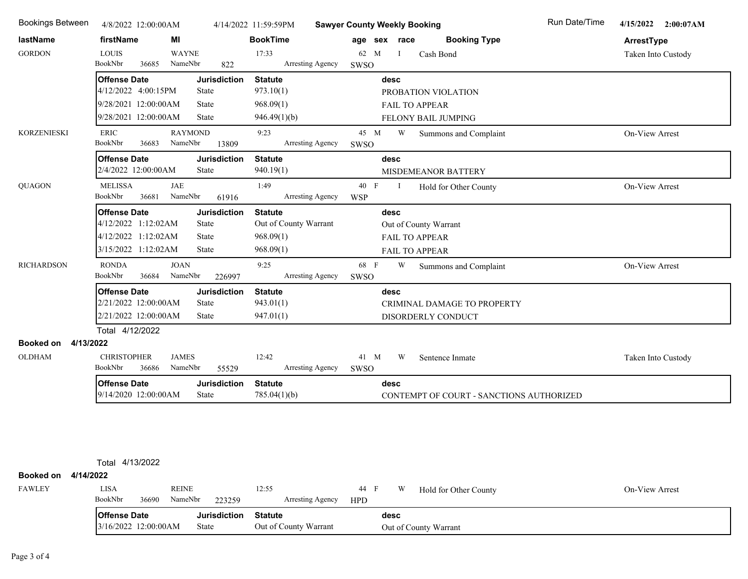| <b>Bookings Between</b>       | 4/8/2022 12:00:00AM                                 |                                  | 4/14/2022 11:59:59PM               | <b>Sawyer County Weekly Booking</b>           | Run Date/Time<br>4/15/2022 2:00:07AM |
|-------------------------------|-----------------------------------------------------|----------------------------------|------------------------------------|-----------------------------------------------|--------------------------------------|
| lastName                      | firstName                                           | MI                               | <b>BookTime</b>                    | <b>Booking Type</b><br>age sex race           | ArrestType                           |
| <b>GORDON</b>                 | <b>LOUIS</b>                                        | <b>WAYNE</b>                     | 17:33                              | 62 M<br>Ι.<br>Cash Bond                       | Taken Into Custody                   |
|                               | BookNbr<br>36685                                    | NameNbr<br>822                   | Arresting Agency                   | SWSO                                          |                                      |
|                               | <b>Offense Date</b><br><b>Jurisdiction</b>          |                                  | <b>Statute</b>                     | desc                                          |                                      |
|                               | 4/12/2022 4:00:15PM<br>9/28/2021 12:00:00AM         | <b>State</b><br>State            | 973.10(1)<br>968.09(1)             | PROBATION VIOLATION                           |                                      |
|                               | 9/28/2021 12:00:00AM                                | State                            | 946.49(1)(b)                       | <b>FAIL TO APPEAR</b>                         |                                      |
| <b>KORZENIESKI</b>            | <b>ERIC</b>                                         | <b>RAYMOND</b>                   | 9:23                               | FELONY BAIL JUMPING<br>45 M<br>W              |                                      |
|                               | BookNbr<br>36683                                    | NameNbr<br>13809                 | Arresting Agency                   | Summons and Complaint<br>SWSO                 | <b>On-View Arrest</b>                |
|                               | <b>Offense Date</b>                                 | <b>Jurisdiction</b>              | <b>Statute</b>                     | desc                                          |                                      |
|                               | 2/4/2022 12:00:00AM                                 | State                            | 940.19(1)                          | <b>MISDEMEANOR BATTERY</b>                    |                                      |
| <b>QUAGON</b>                 | <b>MELISSA</b>                                      | JAE                              | 1:49                               | 40 F<br>$\mathbf{I}$<br>Hold for Other County | On-View Arrest                       |
|                               | BookNbr<br>36681                                    | NameNbr<br>61916                 | Arresting Agency                   | WSP                                           |                                      |
|                               | <b>Offense Date</b>                                 | <b>Jurisdiction</b>              | <b>Statute</b>                     | desc                                          |                                      |
|                               | 4/12/2022 1:12:02AM                                 | State                            | Out of County Warrant<br>968.09(1) | Out of County Warrant                         |                                      |
|                               | 4/12/2022 1:12:02AM<br>State<br>3/15/2022 1:12:02AM |                                  |                                    | FAIL TO APPEAR                                |                                      |
|                               |                                                     | <b>State</b>                     | 968.09(1)                          | <b>FAIL TO APPEAR</b>                         |                                      |
| <b>RICHARDSON</b>             | <b>RONDA</b><br>BookNbr<br>36684                    | <b>JOAN</b><br>NameNbr<br>226997 | 9:25<br>Arresting Agency           | 68 F<br>W<br>Summons and Complaint<br>SWSO    | On-View Arrest                       |
|                               | <b>Offense Date</b>                                 | <b>Jurisdiction</b>              | <b>Statute</b>                     | desc                                          |                                      |
|                               | 2/21/2022 12:00:00AM                                | State                            | 943.01(1)                          | CRIMINAL DAMAGE TO PROPERTY                   |                                      |
|                               | 2/21/2022 12:00:00AM                                | State                            | 947.01(1)                          | DISORDERLY CONDUCT                            |                                      |
|                               | Total 4/12/2022                                     |                                  |                                    |                                               |                                      |
| <b>Booked on</b><br>4/13/2022 |                                                     |                                  |                                    |                                               |                                      |
| <b>OLDHAM</b>                 | <b>CHRISTOPHER</b><br>BookNbr<br>36686              | <b>JAMES</b><br>NameNbr<br>55529 | 12:42<br>Arresting Agency          | W<br>41 M<br>Sentence Inmate<br><b>SWSO</b>   | Taken Into Custody                   |
|                               | <b>Offense Date</b>                                 | <b>Jurisdiction</b>              | <b>Statute</b>                     | desc                                          |                                      |
|                               | 9/14/2020 12:00:00AM                                | State                            | 785.04(1)(b)                       | CONTEMPT OF COURT - SANCTIONS AUTHORIZED      |                                      |
|                               |                                                     |                                  |                                    |                                               |                                      |
|                               |                                                     |                                  |                                    |                                               |                                      |
|                               |                                                     |                                  |                                    |                                               |                                      |

Total 4/13/2022

## **Booked on 4/14/2022**

| FAWLEY | LISA                                          |       | <b>REINE</b> | 12:55               |                       | 44 F       | W                     | Hold for Other County | On-View Arrest |
|--------|-----------------------------------------------|-------|--------------|---------------------|-----------------------|------------|-----------------------|-----------------------|----------------|
|        | BookNbr                                       | 36690 | NameNbr      | 223259              | Arresting Agency      | <b>HPD</b> |                       |                       |                |
|        | <b>Offense Date</b><br>$3/16/2022$ 12:00:00AM |       |              | <b>Jurisdiction</b> | <b>Statute</b>        |            | desc                  |                       |                |
|        |                                               |       |              | State               | Out of County Warrant |            | Out of County Warrant |                       |                |